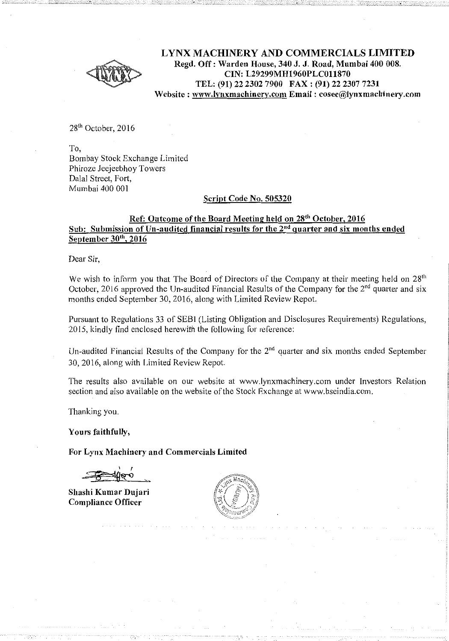

**LYNX MACHINERY AND COMMERCIALS LIMITED Regd. Off: Warden House, 340 J. J. Road, Mumbai 400 008. CIN: L29299MH1960PLC011870 TEL: (91) 22 2302 7900 FAX: (91) 22 2307 7231**   $Website: [www.lvnxmachinerv.com](http://www.lvnxmachinerv.com) **Email: cosec@lynxmachinerv.com**$ 

28<sup>th</sup> October, 2016

To, Bombay Stock Exchange Limited Phiroze Jeejeebhoy Towers Dalal Street, Fort, Mumbai 400 001

# **Script Code No. 505320**

## **Ref: Outcome of the Board Meeting held on 28<sup>1</sup> " October, 2016 Sub: Submission of Un-audited financial results for the** 2"d **quarter and six months ended September 30'". 2016**

Dear Sir,

We wish to inform you that The Board of Directors of the Company at their meeting held on 28<sup>th</sup> October, 2016 approved the Un-audited Financial Results of the Company for the 2<sup>nd</sup> quarter and six months ended September 30, 2016, along with Limited Review Repot.

Pursuant to Regulations 33 of SEBI (Listing Obligation and Disclosures Requirements) Regulations, 2015, kindly find enclosed herewith the following for reference:

Un-audited Financial Results of the Company for the  $2<sup>nd</sup>$  quarter and six months ended September 30,2016, along with Limited Review Repot.

The results also available on our website at www.lynxmachinery.com under Investors Relation section and also available on the website of the Stock Exchange at www.bseindia.com.

Thanking you.

**Yours faithfully,** 

**For Lynx Machinery and Commercials Limited** 

**Shashi Kumar Dujari Compliance Officer** 

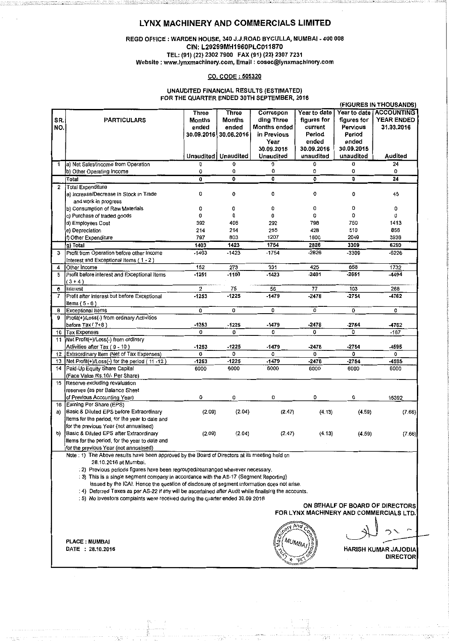# LYNX MACHINERY AND COMMERCIALS LIMITED

#### REGD OFFICE : WARDEN HOUSE, 340 J.J.ROAD BYCULLA, MUMBAI • 400 008 CIN: L29299MH1960PLC011870 TEL: (91) (22) 2302 7900 FAX (91) (22) 2307 7231 Website: www.lynxmachinery.com, Email: cosec@lynxmachinery.com

## CO. CODE : 505320

#### UNAUDITED FINANCIAL RESULTS (ESTIMATED) FOR THE QUARTER ENDED 30TH SEPTEMBER, 2016

|                |                                                                                                        |                  |                              |                     |              |              | (FIGURES IN THOUSANDS) |  |  |
|----------------|--------------------------------------------------------------------------------------------------------|------------------|------------------------------|---------------------|--------------|--------------|------------------------|--|--|
|                |                                                                                                        | Three            | Three                        | Correspon           | Year to date | Year to date | <b>ACCOUNTING</b>      |  |  |
| SR.            | <b>PARTICULARS</b>                                                                                     | Months           | Months                       | ding Three          | figures for  | figures for  | <b>YEAR ENDED</b>      |  |  |
| NO.            |                                                                                                        | ended            | ended                        | <b>Months ended</b> | current      | Pervious     | 31.03.2016             |  |  |
|                |                                                                                                        |                  | 30.09.2016 30.06.2016        | in Previous         | Period       | Period       |                        |  |  |
|                |                                                                                                        |                  |                              | Year                | ended        | ended        |                        |  |  |
|                |                                                                                                        |                  |                              | 30.09.2015          | 30.09.2016   | 30.09.2015   |                        |  |  |
|                |                                                                                                        |                  | <b>Unaudited   Unaudited</b> | Unaudited           | unaudited    | unaudited    | Audited                |  |  |
| 1              | Ja) Net Sales/Income from Operation                                                                    | 0                | 0                            | 0                   | 0            | 0            | 24                     |  |  |
|                | b) Other Operating Income                                                                              | 0                | 0                            | 0                   | 0            | 0            | 0                      |  |  |
|                | Totat                                                                                                  | $\overline{0}$   | $\overline{0}$               | 0                   | O            | 0            | 24                     |  |  |
| $\overline{2}$ | Total Expenditure                                                                                      |                  |                              |                     |              |              |                        |  |  |
|                | a) Increase/Decrease in Stock in Trade                                                                 | 0                | 0                            | 0                   | 0            | 0            | 45                     |  |  |
|                | and work in progress                                                                                   |                  |                              |                     |              |              |                        |  |  |
|                |                                                                                                        |                  | 0                            | 0                   | 0            | 0            | 0                      |  |  |
|                | b) Consumption of Raw Materials                                                                        | 0<br>0           | 0                            | 0                   | 0            | 0            |                        |  |  |
|                | c) Purchase of traded goods                                                                            |                  |                              |                     |              |              | O                      |  |  |
|                | d) Employees Cost                                                                                      | 392              | 406                          | 292                 | 798          | 750          | 1413                   |  |  |
|                | e) Depreciation                                                                                        | 214              | 214                          | 255                 | 428          | 510          | 856                    |  |  |
|                | f) Other Expenditure                                                                                   | 797              | 803                          | 1207                | 1600         | 2049         | 3936                   |  |  |
|                | g) Total                                                                                               | 1403             | 1423                         | 1754                | 2826         | 3309         | 6250                   |  |  |
| 3              | Profit from Operation before other Income                                                              | -1403            | $-1423$                      | $-1754$             | -2826        | -3309        | $-6226$                |  |  |
|                | Interest and Exceptional Items (1-2)                                                                   |                  |                              |                     |              |              |                        |  |  |
| 4              | Other Income                                                                                           | 152              | 273                          | 331                 | 425          | 658          | 1732                   |  |  |
| 5              | Profit before interest and Exceptional Items                                                           | -1251            | $-1150$                      | $-1423$             | -2401        | $-2651$      | -4494                  |  |  |
|                | $(3+4)$                                                                                                |                  |                              |                     |              |              |                        |  |  |
| 6              | Interest                                                                                               | $\boldsymbol{2}$ | 75                           | 56                  | 77           | 103          | 268                    |  |  |
| 7              | Profit after interest but before Exceptional                                                           | -1253            | -1225                        | $-1479$             | $-2478$      | $-2754$      | -4762                  |  |  |
|                | ltems (5 - 6 )                                                                                         |                  |                              |                     |              |              |                        |  |  |
| 8              | Exceptional Items                                                                                      | 0                | 0                            | 0                   | 0            | 0            | 0                      |  |  |
| 9              | Profit(+)/Loss(-) from ordinary Activities                                                             |                  |                              |                     |              |              |                        |  |  |
|                | before Tax (7+8)                                                                                       | $-1253$          | -1225                        | -1479               | -2478        | $-2764$      | -4762                  |  |  |
| 10             | Tax Expenses                                                                                           | 0                | 0                            | 0                   | 0            | 0            | $-167$                 |  |  |
| 11             | Net Profit(+)/Loss(-) from ordinary                                                                    |                  |                              |                     |              |              |                        |  |  |
|                | Activities after Tax (9 - 10)                                                                          | $-1253$          | $-1225$                      | $-1479$             | $-2478$      | $-2754$      | -4595                  |  |  |
| 12             | Extraordinary Item (Net of Tax Expenses)                                                               | 0                | 0                            | O                   | 0            | 0            | 0                      |  |  |
| 13             | Net Profit(+)/Loss(-) for the period (11 -12)                                                          | $-1253$          | $-1225$                      | $-1479$             | $-2478$      | $-2754$      | -4595                  |  |  |
| 14             | Paid-Up Equity Share Capital                                                                           | 6000             | 6000                         | 6000                | 6000         | 6000         | 6000                   |  |  |
|                | (Face Value Rs.10/- Per Share)                                                                         |                  |                              |                     |              |              |                        |  |  |
| 15             | Reserve excluding revaluation                                                                          |                  |                              |                     |              |              |                        |  |  |
|                | reserves (as per Balance Sheet                                                                         |                  |                              |                     |              |              |                        |  |  |
|                | of Previous Accounting Year)                                                                           | O                | 0                            | 0                   | 0            | 0            | 15392                  |  |  |
| 16             | Earning Per Share (EPS)                                                                                |                  |                              |                     |              |              |                        |  |  |
| a)             | Basic & Diluted EPS before Extraordinary                                                               | (2.09)           | (2.04)                       | (2.47)              | (4.13)       | (4.59)       | (7.66)                 |  |  |
|                |                                                                                                        |                  |                              |                     |              |              |                        |  |  |
|                | Items for the period, for the year to date and                                                         |                  |                              |                     |              |              |                        |  |  |
|                | for the previous Year (not annualised)                                                                 |                  |                              |                     |              |              |                        |  |  |
| b)             | Basic & Diluted EPS after Extraordinary                                                                | (2.09)           | (2.04)                       | (2.47)              | (4.13)       | (4.59)       | (7.66)                 |  |  |
|                | Items for the period, for the year to date and                                                         |                  |                              |                     |              |              |                        |  |  |
|                | for the previous Year (not annualised)                                                                 |                  |                              |                     |              |              |                        |  |  |
|                | Note : 1) The Above results have been approved by the Board of Directors at its meeting held on        |                  |                              |                     |              |              |                        |  |  |
|                | 28.10.2016 at Mumbai.                                                                                  |                  |                              |                     |              |              |                        |  |  |
|                | : 2) Previous periods figures have been regrouped/rearranged wherever necessary.                       |                  |                              |                     |              |              |                        |  |  |
|                | : 3) This is a single segment company in accordance with the AS-17 (Segment Reporting)                 |                  |                              |                     |              |              |                        |  |  |
|                | issued by the ICAI. Hence the question of disclosure of segment information does not arise.            |                  |                              |                     |              |              |                        |  |  |
|                | : 4) Deferred Taxes as per AS-22 if any will be ascertained after Audit while finalising the accounts. |                  |                              |                     |              |              |                        |  |  |
|                | : 5) No investors complaints were received during the quarter ended 30.09.2016                         |                  |                              |                     |              |              |                        |  |  |
|                | ON BEHALF OF BOARD OF DIRECTORS                                                                        |                  |                              |                     |              |              |                        |  |  |
|                | FOR LYNX MACHINERY AND COMMERCIALS LTD.                                                                |                  |                              |                     |              |              |                        |  |  |
|                |                                                                                                        |                  |                              |                     |              |              |                        |  |  |
|                |                                                                                                        |                  |                              |                     |              |              |                        |  |  |
|                |                                                                                                        |                  |                              |                     |              |              |                        |  |  |
|                | <b>PLACE: MUMBAI</b>                                                                                   |                  |                              | MUMB,               |              |              |                        |  |  |
|                | DATE : 28.10.2016                                                                                      |                  |                              |                     |              |              | HARISH KUMAR JAJODIA   |  |  |
|                |                                                                                                        |                  |                              |                     |              |              | <b>DIRECTOR</b>        |  |  |
|                |                                                                                                        |                  |                              |                     |              |              |                        |  |  |
|                |                                                                                                        |                  |                              |                     |              |              |                        |  |  |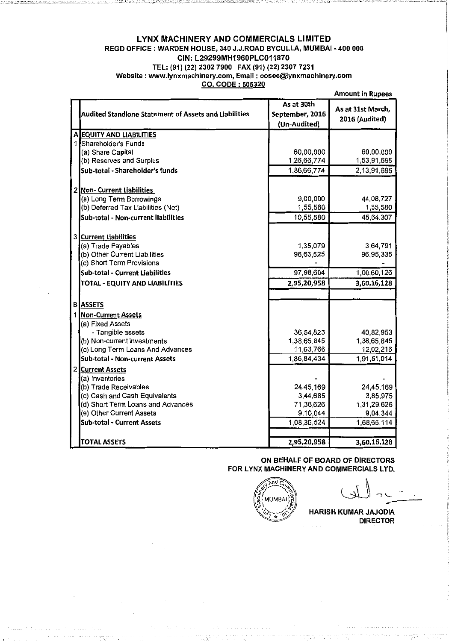#### LYNX MACHINERY AND COMMERCIALS LIMITED REGD OFFICE : WARDEN HOUSE, 340 J.J.ROAD BYCULLA, MUMBAI -400 008 CIN: L29299MH1960PLC011870 TEL: {91) {22) 2302 7900 FAX {91) {22) 2307 7231 Website : www.lynxmachinery.com, Email : cosec@lynxmachinery.com CO. CODE : 505320

|     |                                                              |                               | MIINAIII III KUNCCS                 |
|-----|--------------------------------------------------------------|-------------------------------|-------------------------------------|
|     | <b>Audited Standlone Statement of Assets and Liabilities</b> | As at 30th<br>September, 2016 | As at 31st March,<br>2016 (Audited) |
|     |                                                              | (Un-Audited)                  |                                     |
|     | A EQUITY AND LIABILITIES                                     |                               |                                     |
|     | 1 Shareholder's Funds                                        |                               |                                     |
|     | (a) Share Capital                                            | 60,00,000                     | 60,00,000                           |
|     | (b) Reserves and Surplus                                     | 1,26,66,774                   | 1,53,91,695                         |
|     | Sub-total - Shareholder's funds                              | 1,86,66,774                   | 2,13,91,695                         |
|     |                                                              |                               |                                     |
|     |                                                              |                               |                                     |
|     | 2 Non- Current Liabilities                                   | 9,00,000                      | 44,08,727                           |
|     | (a) Long Term Borrowings                                     | 1,55,580                      |                                     |
|     | (b) Deferred Tax Liabilities (Net)                           |                               | 1,55,580                            |
|     | Sub-total - Non-current liabilities                          | 10,55,580                     | 45,64,307                           |
|     |                                                              |                               |                                     |
|     | 3 Current Liabilities                                        |                               |                                     |
|     | (a) Trade Payables                                           | 1,35,079                      | 3,64,791                            |
|     | (b) Other Current Liabilities                                | 96,63,525                     | 96,95,335                           |
|     | (c) Short Term Provisions                                    |                               |                                     |
|     | <b>Sub-total - Current Liabilities</b>                       | 97,98,604                     | 1,00,60,126                         |
|     | TOTAL - EQUITY AND LIABILITIES                               | 2,95,20,958                   | 3,60,16,128                         |
|     |                                                              |                               |                                     |
|     | <b>B</b> ASSETS                                              |                               |                                     |
|     |                                                              |                               |                                     |
| 1 I | <b>Non-Current Assets</b>                                    |                               |                                     |
|     | (a) Fixed Assets                                             |                               |                                     |
|     | - Tangible assets                                            | 36,54,823                     | 40,82.953                           |
|     | (b) Non-current investments                                  | 1,38,65,845                   | 1,38,65,845                         |
|     | (c) Long Term Loans And Advances                             | 11,63,766                     | 12,02,216                           |
|     | Sub-total - Non-current Assets                               | 1,86,84,434                   | 1,91,51,014                         |
|     | 2 Current Assets                                             |                               |                                     |
|     | (a) Inventories                                              |                               |                                     |
|     | (b) Trade Receivables                                        | 24,45,169                     | 24,45,169                           |
|     | (c) Cash and Cash Equivalents                                | 3,44,685                      | 3,85,975                            |
|     | (d) Short Term Loans and Advances                            | 71,36,626                     | 1,31,29,626                         |
|     | (e) Other Current Assets                                     | 9,10,044                      | 9,04,344                            |
|     | <b>Sub-total - Current Assets</b>                            | 1,08,36,524                   | 1,68,65,114                         |
|     |                                                              |                               |                                     |
|     | <b>TOTAL ASSETS</b>                                          | 2,95,20,958                   | 3,60,16,128                         |

ON BEHALF OF BOARD OF DIRECTORS FOR LYNX MACHINERY AND COMMERCIALS LTD.

**MUMBAI** 

Amount in Rupees

HARISH KUMAR JAJODIA DIRECTOR